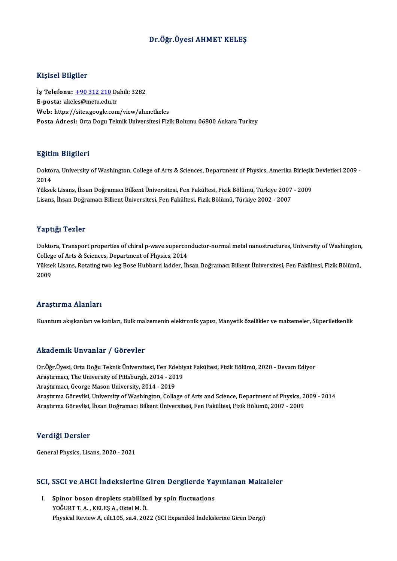## Dr.Öğr.Üyesi AHMET KELEŞ

## Kişisel Bilgiler

Kişisel Bilgiler<br>İş Telefonu: <u>+90 312 210</u> Dahili: 3282<br>E nosta: akales@metu.edu.tr 11131001 D1151101<br>İş Telefonu: <u>+90 312 210</u> D2<br>E-posta: ake[les@metu.edu](tel:+90 312 210).tr E-posta: akeles@metu.edu.tr<br>Web: https://sites.google.com/view/ahmetkeles Posta Adresi: Orta Dogu Teknik Universitesi Fizik Bolumu 06800 Ankara Turkey

### Eğitim Bilgileri

**Eğitim Bilgileri**<br>Doktora, University of Washington, College of Arts & Sciences, Department of Physics, Amerika Birleşik Devletleri 2009 -<br>2014 ngref<br>Dokto<br>2014<br><sup>Välses</sup> Doktora, University of Washington, College of Arts & Sciences, Department of Physics, Amerika Birleşik<br>2014<br>Yüksek Lisans, İhsan Doğramacı Bilkent Üniversitesi, Fen Fakültesi, Fizik Bölümü, Türkiye 2007 - 2009<br>Lisans, İhsa

2014<br>Yüksek Lisans, İhsan Doğramacı Bilkent Üniversitesi, Fen Fakültesi, Fizik Bölümü, Türkiye 2007 - 2009<br>Lisans, İhsan Doğramacı Bilkent Üniversitesi, Fen Fakültesi, Fizik Bölümü, Türkiye 2002 - 2007

### Yaptığı Tezler

Yaptığı Tezler<br>Doktora, Transport properties of chiral p-wave superconductor-normal metal nanostructures, University of Washington,<br>Callage of Arta & Sciences, Penartment of Physics, 2014 Tup ught cancer<br>Doktora, Transport properties of chiral p-wave supercor<br>College of Arts & Sciences, Department of Physics, 2014<br>Viktory Ligans, Botating two leg Bose Hubbord ladder, th Doktora, Transport properties of chiral p-wave superconductor-normal metal nanostructures, University of Washington<br>College of Arts & Sciences, Department of Physics, 2014<br>Yüksek Lisans, Rotating two leg Bose Hubbard ladde

Colleg<br>Yükse<br>2009 Araştırma Alanları

Kuantum akışkanları ve katıları, Bulk malzemenin elektronik yapısı, Manyetik özellikler ve malzemeler, Süperiletkenlik

## Akademik Unvanlar / Görevler

Akademik Unvanlar / Görevler<br>Dr.Öğr.Üyesi, Orta Doğu Teknik Üniversitesi, Fen Edebiyat Fakültesi, Fizik Bölümü, 2020 - Devam Ediyor<br>Anastumacu The University of Bittebursh, 2014, ...2019 Arastırmacı, The University October<br>Dr.Öğr.Üyesi, Orta Doğu Teknik Üniversitesi, Fen Edebiy<br>Araştırmacı, The University of Pittsburgh, 2014 - 2019<br>Arastırmacı, Cearge Mason University, 2014 - 2019 Dr.Öğr.Üyesi, Orta Doğu Teknik Üniversitesi, Fen Ede<br>Araştırmacı, The University of Pittsburgh, 2014 - 201<br>Araştırmacı, George Mason University, 2014 - 2019<br>Arastırma Cönavlisi, University of Washington, Calla Araştırmacı, The University of Pittsburgh, 2014 - 2019<br>Araştırmacı, George Mason University, 2014 - 2019<br>Araştırma Görevlisi, University of Washington, Collage of Arts and Science, Department of Physics, 2009 - 2014<br>Araştı Araştırmacı, George Mason University, 2014 - 2019<br>Araştırma Görevlisi, University of Washington, Collage of Arts and Science, Department of Physics, 2<br>Araştırma Görevlisi, İhsan Doğramacı Bilkent Üniversitesi, Fen Fakültes Araştırma Görevlisi, İhsan Doğramacı Bilkent Üniversitesi, Fen Fakültesi, Fizik Bölümü, 2007 - 2009<br>Verdiği Dersler

General Physics, Lisans, 2020 - 2021

# ueneral Physics, Lisans, 2020 - 2021<br>SCI, SSCI ve AHCI İndekslerine Giren Dergilerde Yayınlanan Makaleler

CI, SSCI ve AHCI Indekslerine Giren Dergilerde Ya<sub>.</sub><br>I. Spinor boson droplets stabilized by spin fluctuations<br>VOČUPT A. KELES A. Ottal M.Ö. Spinor boson droplets stabilized by spin fluctuations<br>YOĞURT T. A., KELEŞ A., Oktel M. Ö. Physical Review A, cilt.105, sa.4, 2022 (SCI Expanded İndekslerine Giren Dergi)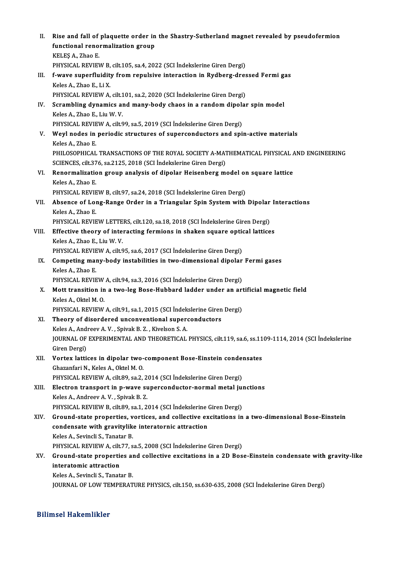| П.    | Rise and fall of plaquette order in the Shastry-Sutherland magnet revealed by pseudofermion                                                                               |
|-------|---------------------------------------------------------------------------------------------------------------------------------------------------------------------------|
|       | functional renormalization group                                                                                                                                          |
|       | KELEŞ A, Zhao E                                                                                                                                                           |
|       | PHYSICAL REVIEW B, cilt.105, sa.4, 2022 (SCI Indekslerine Giren Dergi)                                                                                                    |
| III.  | f-wave superfluidity from repulsive interaction in Rydberg-dressed Fermi gas                                                                                              |
|       | Keles A., Zhao E., Li X.                                                                                                                                                  |
|       | PHYSICAL REVIEW A, cilt.101, sa.2, 2020 (SCI İndekslerine Giren Dergi)                                                                                                    |
| IV.   | Scrambling dynamics and many-body chaos in a random dipolar spin model                                                                                                    |
|       | Keles A, Zhao E, Liu W V                                                                                                                                                  |
|       | PHYSICAL REVIEW A, cilt 99, sa 5, 2019 (SCI İndekslerine Giren Dergi)                                                                                                     |
| V.    | Weyl nodes in periodic structures of superconductors and spin-active materials<br>Keles A., Zhao E.                                                                       |
|       | PHILOSOPHICAL TRANSACTIONS OF THE ROYAL SOCIETY A-MATHEMATICAL PHYSICAL AND ENGINEERING                                                                                   |
|       | SCIENCES, cilt.376, sa.2125, 2018 (SCI İndekslerine Giren Dergi)                                                                                                          |
| VI.   | Renormalization group analysis of dipolar Heisenberg model on square lattice                                                                                              |
|       | Keles A, Zhao E                                                                                                                                                           |
|       | PHYSICAL REVIEW B, cilt.97, sa.24, 2018 (SCI Indekslerine Giren Dergi)                                                                                                    |
| VII.  | Absence of Long-Range Order in a Triangular Spin System with Dipolar Interactions                                                                                         |
|       | Keles A., Zhao E.                                                                                                                                                         |
|       | PHYSICAL REVIEW LETTERS, cilt.120, sa.18, 2018 (SCI Indekslerine Giren Dergi)                                                                                             |
| VIII. | Effective theory of interacting fermions in shaken square optical lattices                                                                                                |
|       | Keles A., Zhao E., Liu W. V.                                                                                                                                              |
|       | PHYSICAL REVIEW A, cilt.95, sa.6, 2017 (SCI İndekslerine Giren Dergi)                                                                                                     |
| IX.   | Competing many-body instabilities in two-dimensional dipolar Fermi gases<br>Keles A., Zhao E.                                                                             |
|       | PHYSICAL REVIEW A, cilt 94, sa.3, 2016 (SCI İndekslerine Giren Dergi)                                                                                                     |
| X.    | Mott transition in a two-leg Bose-Hubbard ladder under an artificial magnetic field                                                                                       |
|       | Keles A., Oktel M. O.                                                                                                                                                     |
|       | PHYSICAL REVIEW A, cilt 91, sa.1, 2015 (SCI İndekslerine Giren Dergi)                                                                                                     |
| XI.   | Theory of disordered unconventional superconductors                                                                                                                       |
|       | Keles A., Andreev A.V., Spivak B.Z., Kivelson S.A.                                                                                                                        |
|       | JOURNAL OF EXPERIMENTAL AND THEORETICAL PHYSICS, cilt.119, sa.6, ss.1109-1114, 2014 (SCI Indekslerine                                                                     |
|       | Giren Dergi)                                                                                                                                                              |
| XII.  | Vortex lattices in dipolar two-component Bose-Einstein condensates                                                                                                        |
|       | Ghazanfari N., Keles A., Oktel M. O.                                                                                                                                      |
|       | PHYSICAL REVIEW A, cilt.89, sa.2, 2014 (SCI Indekslerine Giren Dergi)                                                                                                     |
| XIII. | Electron transport in p-wave superconductor-normal metal junctions                                                                                                        |
|       | Keles A., Andreev A.V., Spivak B.Z.                                                                                                                                       |
| XIV.  | PHYSICAL REVIEW B, cilt.89, sa.1, 2014 (SCI İndekslerine Giren Dergi)<br>Ground-state properties, vortices, and collective excitations in a two-dimensional Bose-Einstein |
|       | condensate with gravitylike interatornic attraction                                                                                                                       |
|       | Keles A., Sevincli S., Tanatar B.                                                                                                                                         |
|       | PHYSICAL REVIEW A, cilt 77, sa 5, 2008 (SCI Indekslerine Giren Dergi)                                                                                                     |
| XV.   | Ground-state properties and collective excitations in a 2D Bose-Einstein condensate with gravity-like                                                                     |
|       | interatomic attraction                                                                                                                                                    |
|       | Keles A., Sevincli S., Tanatar B.                                                                                                                                         |
|       | JOURNAL OF LOW TEMPERATURE PHYSICS, cilt.150, ss.630-635, 2008 (SCI Indekslerine Giren Dergi)                                                                             |
|       |                                                                                                                                                                           |

# Bilimsel Hakemlikler